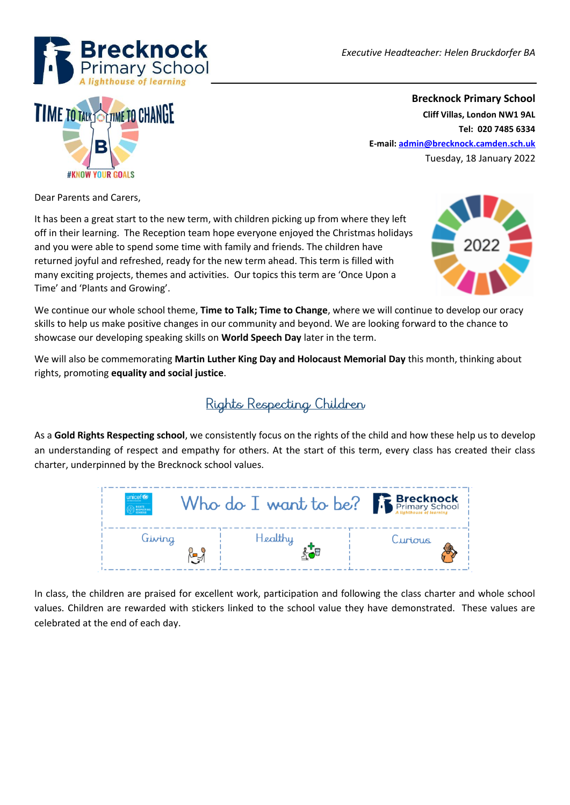



**Brecknock Primary School Cliff Villas, London NW1 9AL Tel: 020 7485 6334 E-mail[: admin@brecknock.camden.sch.uk](mailto:admin@brecknock.camden.sch.uk)** Tuesday, 18 January 2022

Dear Parents and Carers,

It has been a great start to the new term, with children picking up from where they left off in their learning. The Reception team hope everyone enjoyed the Christmas holidays and you were able to spend some time with family and friends. The children have returned joyful and refreshed, ready for the new term ahead. This term is filled with many exciting projects, themes and activities. Our topics this term are 'Once Upon a Time' and 'Plants and Growing'.



We continue our whole school theme, **Time to Talk; Time to Change**, where we will continue to develop our oracy skills to help us make positive changes in our community and beyond. We are looking forward to the chance to showcase our developing speaking skills on **World Speech Day** later in the term.

We will also be commemorating **Martin Luther King Day and Holocaust Memorial Day** this month, thinking about rights, promoting **equality and social justice**.

### Rights Respecting Children

As a **Gold Rights Respecting school**, we consistently focus on the rights of the child and how these help us to develop an understanding of respect and empathy for others. At the start of this term, every class has created their class charter, underpinned by the Brecknock school values.



In class, the children are praised for excellent work, participation and following the class charter and whole school values. Children are rewarded with stickers linked to the school value they have demonstrated. These values are celebrated at the end of each day.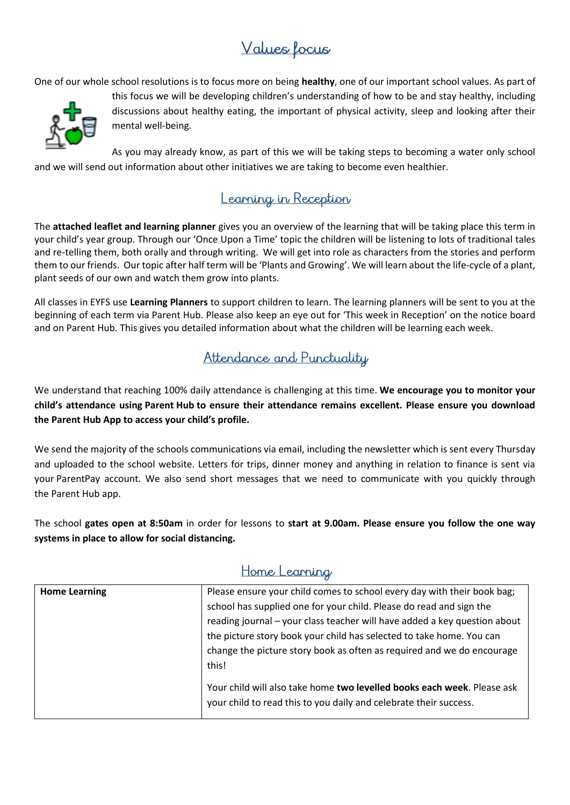## Values Locus

One of our whole school resolutions is to focus more on being **healthy**, one of our important school values. As part of



this focus we will be developing children's understanding of how to be and stay healthy, including discussions about healthy eating, the important of physical activity, sleep and looking after their mental well-being.

As you may already know, as part of this we will be taking steps to becoming a water only school and we will send out information about other initiatives we are taking to become even healthier.

#### Learning in Reception

The **attached leaflet and learning planner** gives you an overview of the learning that will be taking place this term in your child's year group. Through our 'Once Upon a Time' topic the children will be listening to lots of traditional tales and re-telling them, both orally and through writing. We will get into role as characters from the stories and perform them to our friends. Our topic after half term will be 'Plants and Growing'. We will learn about the life-cycle of a plant, plant seeds of our own and watch them grow into plants.

All classes in EYFS use **Learning Planners** to support children to learn. The learning planners will be sent to you at the beginning of each term via Parent Hub. Please also keep an eye out for 'This week in Reception' on the notice board and on Parent Hub. This gives you detailed information about what the children will be learning each week.

#### Attendance and Punctuality

We understand that reaching 100% daily attendance is challenging at this time. **We encourage you to monitor your child's attendance using Parent Hub to ensure their attendance remains excellent. Please ensure you download the Parent Hub App to access your child's profile.**

We send the majority of the schools communications via email, including the newsletter which is sent every Thursday and uploaded to the school website. Letters for trips, dinner money and anything in relation to finance is sent via your ParentPay account. We also send short messages that we need to communicate with you quickly through the Parent Hub app.

The school **gates open at 8:50am** in order for lessons to **start at 9.00am. Please ensure you follow the one way systems in place to allow for social distancing.** 

#### Home Learning

| <b>Home Learning</b> | Please ensure your child comes to school every day with their book bag;                                                                      |
|----------------------|----------------------------------------------------------------------------------------------------------------------------------------------|
|                      | school has supplied one for your child. Please do read and sign the                                                                          |
|                      | reading journal - your class teacher will have added a key question about                                                                    |
|                      | the picture story book your child has selected to take home. You can                                                                         |
|                      | change the picture story book as often as required and we do encourage                                                                       |
|                      | this!                                                                                                                                        |
|                      | Your child will also take home two levelled books each week. Please ask<br>your child to read this to you daily and celebrate their success. |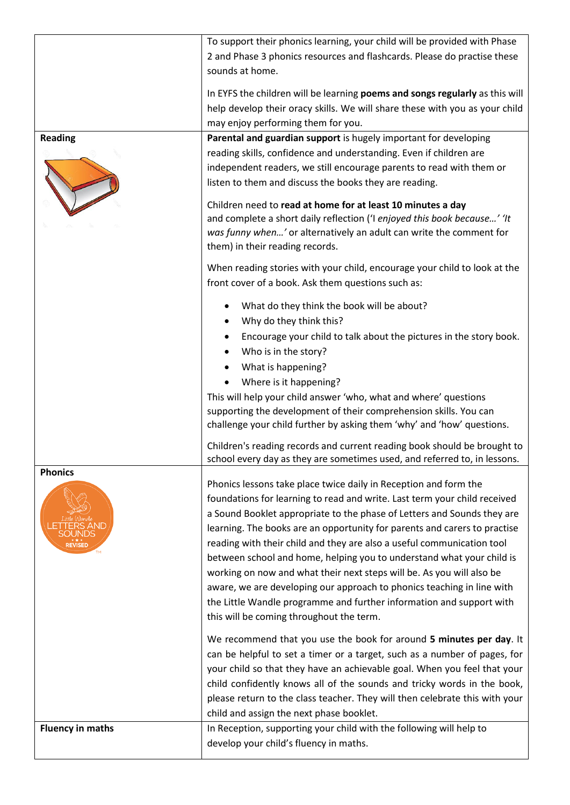|                                  | To support their phonics learning, your child will be provided with Phase<br>2 and Phase 3 phonics resources and flashcards. Please do practise these<br>sounds at home.                                                                                                                                                                                                                                                                                                                                                                                                                                                                                                                                                        |
|----------------------------------|---------------------------------------------------------------------------------------------------------------------------------------------------------------------------------------------------------------------------------------------------------------------------------------------------------------------------------------------------------------------------------------------------------------------------------------------------------------------------------------------------------------------------------------------------------------------------------------------------------------------------------------------------------------------------------------------------------------------------------|
|                                  | In EYFS the children will be learning poems and songs regularly as this will<br>help develop their oracy skills. We will share these with you as your child<br>may enjoy performing them for you.                                                                                                                                                                                                                                                                                                                                                                                                                                                                                                                               |
| <b>Reading</b>                   | Parental and guardian support is hugely important for developing<br>reading skills, confidence and understanding. Even if children are<br>independent readers, we still encourage parents to read with them or<br>listen to them and discuss the books they are reading.<br>Children need to read at home for at least 10 minutes a day<br>and complete a short daily reflection ('I enjoyed this book because' 'It<br>was funny when' or alternatively an adult can write the comment for<br>them) in their reading records.                                                                                                                                                                                                   |
|                                  | When reading stories with your child, encourage your child to look at the<br>front cover of a book. Ask them questions such as:                                                                                                                                                                                                                                                                                                                                                                                                                                                                                                                                                                                                 |
|                                  | What do they think the book will be about?<br>Why do they think this?<br>٠<br>Encourage your child to talk about the pictures in the story book.<br>Who is in the story?<br>What is happening?<br>Where is it happening?<br>This will help your child answer 'who, what and where' questions<br>supporting the development of their comprehension skills. You can<br>challenge your child further by asking them 'why' and 'how' questions.                                                                                                                                                                                                                                                                                     |
|                                  | Children's reading records and current reading book should be brought to<br>school every day as they are sometimes used, and referred to, in lessons.                                                                                                                                                                                                                                                                                                                                                                                                                                                                                                                                                                           |
| <b>Phonics</b><br><b>REVISED</b> | Phonics lessons take place twice daily in Reception and form the<br>foundations for learning to read and write. Last term your child received<br>a Sound Booklet appropriate to the phase of Letters and Sounds they are<br>learning. The books are an opportunity for parents and carers to practise<br>reading with their child and they are also a useful communication tool<br>between school and home, helping you to understand what your child is<br>working on now and what their next steps will be. As you will also be<br>aware, we are developing our approach to phonics teaching in line with<br>the Little Wandle programme and further information and support with<br>this will be coming throughout the term. |
|                                  | We recommend that you use the book for around 5 minutes per day. It<br>can be helpful to set a timer or a target, such as a number of pages, for<br>your child so that they have an achievable goal. When you feel that your<br>child confidently knows all of the sounds and tricky words in the book,<br>please return to the class teacher. They will then celebrate this with your<br>child and assign the next phase booklet.                                                                                                                                                                                                                                                                                              |
| <b>Fluency in maths</b>          | In Reception, supporting your child with the following will help to<br>develop your child's fluency in maths.                                                                                                                                                                                                                                                                                                                                                                                                                                                                                                                                                                                                                   |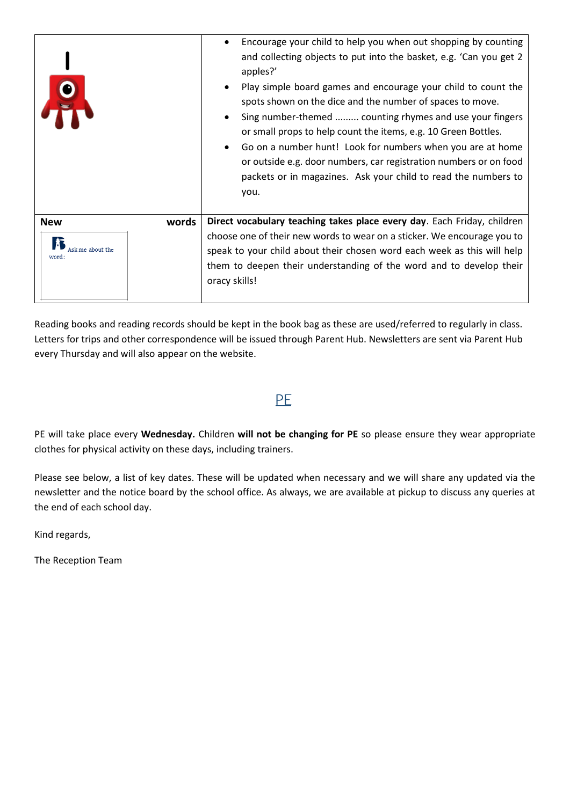|                       | Encourage your child to help you when out shopping by counting<br>and collecting objects to put into the basket, e.g. 'Can you get 2<br>apples?'<br>Play simple board games and encourage your child to count the<br>spots shown on the dice and the number of spaces to move.<br>Sing number-themed  counting rhymes and use your fingers<br>or small props to help count the items, e.g. 10 Green Bottles.<br>Go on a number hunt! Look for numbers when you are at home<br>or outside e.g. door numbers, car registration numbers or on food<br>packets or in magazines. Ask your child to read the numbers to<br>you. |
|-----------------------|---------------------------------------------------------------------------------------------------------------------------------------------------------------------------------------------------------------------------------------------------------------------------------------------------------------------------------------------------------------------------------------------------------------------------------------------------------------------------------------------------------------------------------------------------------------------------------------------------------------------------|
| words<br><b>New</b>   | Direct vocabulary teaching takes place every day. Each Friday, children                                                                                                                                                                                                                                                                                                                                                                                                                                                                                                                                                   |
| me about the<br>word: | choose one of their new words to wear on a sticker. We encourage you to<br>speak to your child about their chosen word each week as this will help<br>them to deepen their understanding of the word and to develop their<br>oracy skills!                                                                                                                                                                                                                                                                                                                                                                                |

Reading books and reading records should be kept in the book bag as these are used/referred to regularly in class. Letters for trips and other correspondence will be issued through Parent Hub. Newsletters are sent via Parent Hub every Thursday and will also appear on the website.

#### PF

PE will take place every **Wednesday.** Children **will not be changing for PE** so please ensure they wear appropriate clothes for physical activity on these days, including trainers.

Please see below, a list of key dates. These will be updated when necessary and we will share any updated via the newsletter and the notice board by the school office. As always, we are available at pickup to discuss any queries at the end of each school day.

Kind regards,

The Reception Team